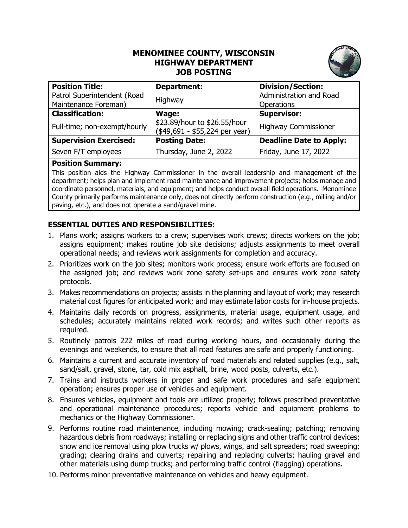## **MENOMINEE COUNTY, WISCONSIN HIGHWAY DEPARTMENT JOB POSTING**



| <b>Position Title:</b>        | Department:                                                    | <b>Division/Section:</b>       |
|-------------------------------|----------------------------------------------------------------|--------------------------------|
| Patrol Superintendent (Road   | Highway                                                        | Administration and Road        |
| Maintenance Foreman)          |                                                                | Operations                     |
| <b>Classification:</b>        | Wage:                                                          | <b>Supervisor:</b>             |
| Full-time; non-exempt/hourly  | \$23.89/hour to \$26.55/hour<br>(\$49,691 - \$55,224 per year) | <b>Highway Commissioner</b>    |
| <b>Supervision Exercised:</b> | <b>Posting Date:</b>                                           | <b>Deadline Date to Apply:</b> |
| Seven F/T employees           | Thursday, June 2, 2022                                         | Friday, June 17, 2022          |

## **Position Summary:**

This position aids the Highway Commissioner in the overall leadership and management of the department; helps plan and implement road maintenance and improvement projects; helps manage and coordinate personnel, materials, and equipment; and helps conduct overall field operations. Menominee County primarily performs maintenance only, does not directly perform construction (e.g., milling and/or paving, etc.), and does not operate a sand/gravel mine.

## **ESSENTIAL DUTIES AND RESPONSIBILITIES:**

- 1. Plans work; assigns workers to a crew; supervises work crews; directs workers on the job; assigns equipment; makes routine job site decisions; adjusts assignments to meet overall operational needs; and reviews work assignments for completion and accuracy.
- 2. Prioritizes work on the job sites; monitors work process; ensure work efforts are focused on the assigned job; and reviews work zone safety set-ups and ensures work zone safety protocols.
- 3. Makes recommendations on projects; assists in the planning and layout of work; may research material cost figures for anticipated work; and may estimate labor costs for in-house projects.
- 4. Maintains daily records on progress, assignments, material usage, equipment usage, and schedules; accurately maintains related work records; and writes such other reports as required.
- 5. Routinely patrols 222 miles of road during working hours, and occasionally during the evenings and weekends, to ensure that all road features are safe and properly functioning.
- 6. Maintains a current and accurate inventory of road materials and related supplies (e.g., salt, sand/salt, gravel, stone, tar, cold mix asphalt, brine, wood posts, culverts, etc.).
- 7. Trains and instructs workers in proper and safe work procedures and safe equipment operation; ensures proper use of vehicles and equipment.
- 8. Ensures vehicles, equipment and tools are utilized properly; follows prescribed preventative and operational maintenance procedures; reports vehicle and equipment problems to mechanics or the Highway Commissioner.
- 9. Performs routine road maintenance, including mowing; crack-sealing; patching; removing hazardous debris from roadways; installing or replacing signs and other traffic control devices; snow and ice removal using plow trucks w/ plows, wings, and salt spreaders; road sweeping; grading; clearing drains and culverts; repairing and replacing culverts; hauling gravel and other materials using dump trucks; and performing traffic control (flagging) operations.
- 10. Performs minor preventative maintenance on vehicles and heavy equipment.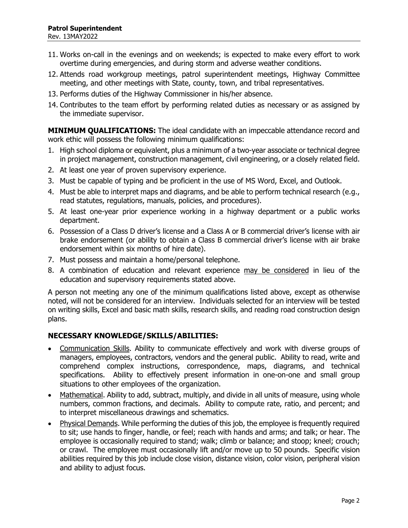- 11. Works on-call in the evenings and on weekends; is expected to make every effort to work overtime during emergencies, and during storm and adverse weather conditions.
- 12. Attends road workgroup meetings, patrol superintendent meetings, Highway Committee meeting, and other meetings with State, county, town, and tribal representatives.
- 13. Performs duties of the Highway Commissioner in his/her absence.
- 14. Contributes to the team effort by performing related duties as necessary or as assigned by the immediate supervisor.

**MINIMUM QUALIFICATIONS:** The ideal candidate with an impeccable attendance record and work ethic will possess the following minimum qualifications:

- 1. High school diploma or equivalent, plus a minimum of a two-year associate or technical degree in project management, construction management, civil engineering, or a closely related field.
- 2. At least one year of proven supervisory experience.
- 3. Must be capable of typing and be proficient in the use of MS Word, Excel, and Outlook.
- 4. Must be able to interpret maps and diagrams, and be able to perform technical research (e.g., read statutes, regulations, manuals, policies, and procedures).
- 5. At least one-year prior experience working in a highway department or a public works department.
- 6. Possession of a Class D driver's license and a Class A or B commercial driver's license with air brake endorsement (or ability to obtain a Class B commercial driver's license with air brake endorsement within six months of hire date).
- 7. Must possess and maintain a home/personal telephone.
- 8. A combination of education and relevant experience may be considered in lieu of the education and supervisory requirements stated above.

A person not meeting any one of the minimum qualifications listed above, except as otherwise noted, will not be considered for an interview. Individuals selected for an interview will be tested on writing skills, Excel and basic math skills, research skills, and reading road construction design plans.

## **NECESSARY KNOWLEDGE/SKILLS/ABILITIES:**

- Communication Skills. Ability to communicate effectively and work with diverse groups of managers, employees, contractors, vendors and the general public. Ability to read, write and comprehend complex instructions, correspondence, maps, diagrams, and technical specifications. Ability to effectively present information in one-on-one and small group situations to other employees of the organization.
- Mathematical. Ability to add, subtract, multiply, and divide in all units of measure, using whole numbers, common fractions, and decimals. Ability to compute rate, ratio, and percent; and to interpret miscellaneous drawings and schematics.
- Physical Demands. While performing the duties of this job, the employee is frequently required to sit; use hands to finger, handle, or feel; reach with hands and arms; and talk; or hear. The employee is occasionally required to stand; walk; climb or balance; and stoop; kneel; crouch; or crawl. The employee must occasionally lift and/or move up to 50 pounds. Specific vision abilities required by this job include close vision, distance vision, color vision, peripheral vision and ability to adjust focus.